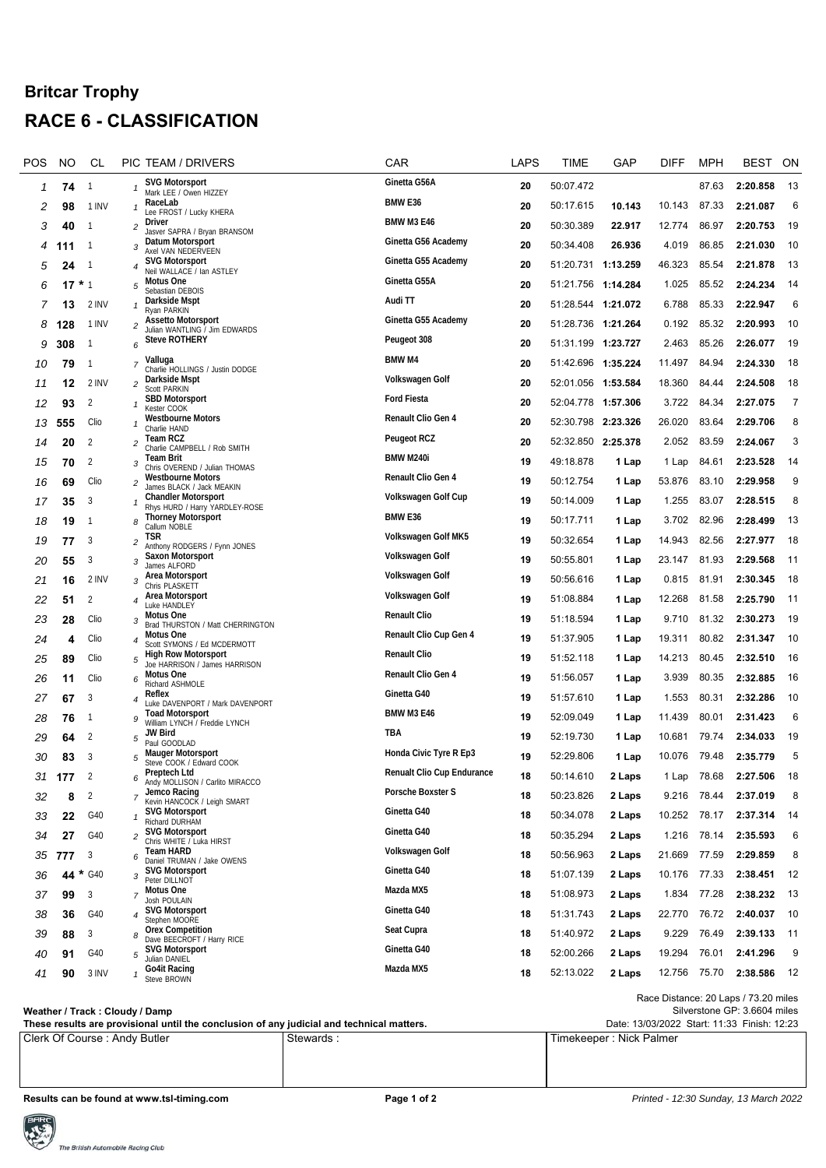## **Britcar Trophy RACE 6 - CLASSIFICATION**

| POS                                                                                                                                      | <b>NO</b> | CL                           |                         | PIC TEAM / DRIVERS                                          |           | <b>CAR</b>                 | LAPS | <b>TIME</b>        | GAP                     | <b>DIFF</b> | <b>MPH</b>  | <b>BEST</b> | ON             |
|------------------------------------------------------------------------------------------------------------------------------------------|-----------|------------------------------|-------------------------|-------------------------------------------------------------|-----------|----------------------------|------|--------------------|-------------------------|-------------|-------------|-------------|----------------|
| 1                                                                                                                                        | 74        | $\overline{1}$               |                         | <b>SVG Motorsport</b><br>Mark LEE / Owen HIZZEY             |           | Ginetta G56A               | 20   | 50:07.472          |                         |             | 87.63       | 2:20.858    | -13            |
| 2                                                                                                                                        | 98        | 1 INV                        |                         | RaceLab<br>Lee FROST / Lucky KHERA                          |           | BMW E36                    | 20   | 50:17.615          | 10.143                  | 10.143      | 87.33       | 2:21.087    | 6              |
| 3                                                                                                                                        | 40        |                              | $\overline{\mathbf{c}}$ | Driver<br>Jasver SAPRA / Bryan BRANSOM                      |           | <b>BMW M3 E46</b>          | 20   | 50:30.389          | 22.917                  | 12.774      | 86.97       | 2:20.753    | 19             |
| 4                                                                                                                                        | 111       | -1                           | 3                       | Datum Motorsport                                            |           | Ginetta G56 Academy        | 20   | 50:34.408          | 26.936                  | 4.019       | 86.85       | 2:21.030    | 10             |
| 5                                                                                                                                        | 24        | - 1                          |                         | Axel VAN NEDERVEEN<br><b>SVG Motorsport</b>                 |           | Ginetta G55 Academy        | 20   | 51:20.731 1:13.259 |                         | 46.323      | 85.54       | 2:21.878    | 13             |
| 6                                                                                                                                        | $17 * 1$  |                              | 5                       | Neil WALLACE / Ian ASTLEY<br>Motus One                      |           | Ginetta G55A               | 20   | 51:21.756 1:14.284 |                         | 1.025       | 85.52       | 2:24.234    | 14             |
| 7                                                                                                                                        | 13        | 2 INV                        |                         | Sebastian DEBOIS<br>Darkside Mspt                           |           | Audi TT                    | 20   | 51:28.544 1:21.072 |                         | 6.788       | 85.33       | 2:22.947    | 6              |
| 8                                                                                                                                        | 128       | 1 INV                        | $\overline{c}$          | Ryan PARKIN<br><b>Assetto Motorsport</b>                    |           | Ginetta G55 Academy        | 20   | 51:28.736 1:21.264 |                         | 0.192       | 85.32       | 2:20.993    | 10             |
| 9                                                                                                                                        | 308       | -1                           | 6                       | Julian WANTLING / Jim EDWARDS<br><b>Steve ROTHERY</b>       |           | Peugeot 308                | 20   | 51:31.199 1:23.727 |                         | 2.463       | 85.26       | 2:26.077    | 19             |
|                                                                                                                                          | 79        | -1                           |                         | Valluga                                                     |           | <b>BMW M4</b>              | 20   | 51:42.696 1:35.224 |                         | 11.497      | 84.94       | 2:24.330    | 18             |
| 10                                                                                                                                       |           | 2 INV                        | 7                       | Charlie HOLLINGS / Justin DODGE<br>Darkside Mspt            |           | Volkswagen Golf            | 20   | 52:01.056 1:53.584 |                         | 18.360      | 84.44       | 2:24.508    | 18             |
| 11                                                                                                                                       | 12        |                              | 2                       | <b>Scott PARKIN</b><br><b>SBD Motorsport</b>                |           | <b>Ford Fiesta</b>         | 20   |                    |                         |             |             |             | $\overline{7}$ |
| 12                                                                                                                                       | 93        | 2                            | 1                       | Kester COOK<br><b>Westbourne Motors</b>                     |           | Renault Clio Gen 4         |      | 52:04.778 1:57.306 |                         | 3.722       | 84.34       | 2:27.075    |                |
| 13                                                                                                                                       | 555       | Clio                         |                         | Charlie HAND<br>Team RCZ                                    |           | Peugeot RCZ                | 20   | 52:30.798 2:23.326 |                         | 26.020      | 83.64       | 2:29.706    | 8              |
| 14                                                                                                                                       | 20        | 2                            | $\overline{\mathbf{c}}$ | Charlie CAMPBELL / Rob SMITH<br><b>Team Brit</b>            |           | <b>BMW M240i</b>           | 20   | 52:32.850 2:25.378 |                         | 2.052       | 83.59       | 2:24.067    | 3              |
| 15                                                                                                                                       | 70        | 2                            | 3                       | Chris OVEREND / Julian THOMAS<br><b>Westbourne Motors</b>   |           | Renault Clio Gen 4         | 19   | 49:18.878          | 1 Lap                   | 1 Lap       | 84.61       | 2:23.528    | 14             |
| 16                                                                                                                                       | 69        | Clio                         | $\overline{c}$          | James BLACK / Jack MEAKIN<br><b>Chandler Motorsport</b>     |           | Volkswagen Golf Cup        | 19   | 50:12.754          | 1 Lap                   | 53.876      | 83.10       | 2:29.958    | 9              |
| 17                                                                                                                                       | 35        | 3                            | 1                       | Rhys HURD / Harry YARDLEY-ROSE                              |           | BMW <sub>E36</sub>         | 19   | 50:14.009          | 1 Lap                   | 1.255       | 83.07       | 2:28.515    | 8              |
| 18                                                                                                                                       | 19        | $\overline{1}$               | 8                       | <b>Thorney Motorsport</b><br>Callum NOBLE                   |           |                            | 19   | 50:17.711          | 1 Lap                   | 3.702       | 82.96       | 2:28.499    | 13             |
| 19                                                                                                                                       | 77        | 3                            | 2                       | <b>TSR</b><br>Anthony RODGERS / Fynn JONES                  |           | Volkswagen Golf MK5        | 19   | 50:32.654          | 1 Lap                   | 14.943      | 82.56       | 2:27.977    | 18             |
| 20                                                                                                                                       | 55        | 3                            | 3                       | Saxon Motorsport<br>James ALFORD                            |           | Volkswagen Golf            | 19   | 50:55.801          | 1 Lap                   | 23.147      | 81.93       | 2:29.568    | -11            |
| 21                                                                                                                                       | 16        | 2 INV                        | 3                       | Area Motorsport<br>Chris PLASKETT                           |           | Volkswagen Golf            | 19   | 50:56.616          | 1 Lap                   | 0.815       | 81.91       | 2:30.345    | 18             |
| 22                                                                                                                                       | 51        | $\overline{2}$               | 4                       | Area Motorsport<br>Luke HANDLEY                             |           | Volkswagen Golf            | 19   | 51:08.884          | 1 Lap                   | 12.268      | 81.58       | 2:25.790    | 11             |
| 23                                                                                                                                       | 28        | Clio                         | 3                       | Motus One<br>Brad THURSTON / Matt CHERRINGTON               |           | Renault Clio               | 19   | 51:18.594          | 1 Lap                   | 9.710       | 81.32       | 2:30.273    | 19             |
| 24                                                                                                                                       | 4         | Clio                         | 4                       | Motus One<br>Scott SYMONS / Ed MCDERMOTT                    |           | Renault Clio Cup Gen 4     | 19   | 51:37.905          | 1 Lap                   | 19.311      | 80.82       | 2:31.347    | 10             |
| 25                                                                                                                                       | 89        | Clio                         | 5                       | <b>High Row Motorsport</b><br>Joe HARRISON / James HARRISON |           | Renault Clio               | 19   | 51:52.118          | 1 Lap                   | 14.213      | 80.45       | 2:32.510    | 16             |
| 26                                                                                                                                       | 11        | Clio                         | 6                       | Motus One<br>Richard ASHMOLE                                |           | Renault Clio Gen 4         | 19   | 51:56.057          | 1 Lap                   | 3.939       | 80.35       | 2:32.885    | 16             |
| 27                                                                                                                                       | 67        | 3                            |                         | Reflex<br>Luke DAVENPORT / Mark DAVENPORT                   |           | Ginetta G40                | 19   | 51:57.610          | 1 Lap                   | 1.553       | 80.31       | 2:32.286    | 10             |
| 28                                                                                                                                       | 76        | -1                           | 9                       | <b>Toad Motorsport</b><br>William LYNCH / Freddie LYNCH     |           | <b>BMW M3 E46</b>          | 19   | 52:09.049          | 1 Lap                   | 11.439      | 80.01       | 2:31.423    | 6              |
| 29                                                                                                                                       | 64        | $\overline{2}$               | 5                       | <b>JW Bird</b><br>Paul GOODLAD                              |           | <b>TBA</b>                 | 19   | 52:19.730          | 1 Lap                   | 10.681      | 79.74       | 2:34.033    | 19             |
| 30                                                                                                                                       | 83        | 3                            | 5                       | <b>Mauger Motorsport</b><br>Steve COOK / Edward COOK        |           | Honda Civic Tyre R Ep3     | 19   | 52:29.806          | 1 Lap                   | 10.076      | 79.48       | 2:35.779    | 5              |
|                                                                                                                                          | 31 177    | $\overline{2}$               | 6                       | Preptech Ltd<br>Andy MOLLISON / Carlito MIRACCO             |           | Renualt Clio Cup Endurance | 18   | 50:14.610          | 2 Laps                  |             | 1 Lap 78.68 | 2:27.506    | - 18           |
| 32                                                                                                                                       | 8         | 2                            | 7                       | Jemco Racing<br>Kevin HANCOCK / Leigh SMART                 |           | Porsche Boxster S          | 18   | 50:23.826          | 2 Laps                  | 9.216       | 78.44       | 2:37.019    | 8              |
| 33                                                                                                                                       | 22        | G40                          |                         | <b>SVG Motorsport</b><br>Richard DURHAM                     |           | Ginetta G40                | 18   | 50:34.078          | 2 Laps                  | 10.252      | 78.17       | 2:37.314    | - 14           |
| 34                                                                                                                                       | 27        | G40                          | $\overline{c}$          | <b>SVG Motorsport</b>                                       |           | Ginetta G40                | 18   | 50:35.294          | 2 Laps                  | 1.216       | 78.14       | 2:35.593    | 6              |
|                                                                                                                                          | 35 777    | 3                            | 6                       | Chris WHITE / Luka HIRST<br>Team HARD                       |           | Volkswagen Golf            | 18   | 50:56.963          | 2 Laps                  | 21.669      | 77.59       | 2:29.859    | 8              |
| 36                                                                                                                                       |           | 44 * G40                     | 3                       | Daniel TRUMAN / Jake OWENS<br><b>SVG Motorsport</b>         |           | Ginetta G40                | 18   | 51:07.139          | 2 Laps                  | 10.176      | 77.33       | 2:38.451    | 12             |
| 37                                                                                                                                       | 99        | 3                            | 7                       | Peter DILLNOT<br>Motus One                                  |           | Mazda MX5                  | 18   | 51:08.973          | 2 Laps                  | 1.834       | 77.28       | 2:38.232    | - 13           |
| 38                                                                                                                                       | 36        | G40                          |                         | Josh POULAIN<br><b>SVG Motorsport</b>                       |           | Ginetta G40                | 18   | 51:31.743          | 2 Laps                  | 22.770      | 76.72       | 2:40.037    | 10             |
| 39                                                                                                                                       | 88        | 3                            | 8                       | Stephen MOORE<br><b>Orex Competition</b>                    |           | Seat Cupra                 | 18   | 51:40.972          | 2 Laps                  | 9.229       | 76.49       | 2:39.133    | - 11           |
| 40                                                                                                                                       | 91        | G40                          | 5                       | Dave BEECROFT / Harry RICE<br><b>SVG Motorsport</b>         |           | Ginetta G40                | 18   | 52:00.266          | 2 Laps                  | 19.294      | 76.01       | 2:41.296    | 9              |
| 41                                                                                                                                       | 90        | 3 INV                        |                         | Julian DANIEL<br>Go4it Racing                               |           | Mazda MX5                  | 18   | 52:13.022          | 2 Laps                  | 12.756      | 75.70       | 2:38.586    | - 12           |
|                                                                                                                                          |           |                              | $\mathbf{1}$            | Steve BROWN                                                 |           |                            |      |                    |                         |             |             |             |                |
| Race Distance: 20 Laps / 73.20 miles<br>Weather / Track: Cloudy / Damp<br>Silverstone GP: 3.6604 miles                                   |           |                              |                         |                                                             |           |                            |      |                    |                         |             |             |             |                |
| These results are provisional until the conclusion of any judicial and technical matters.<br>Date: 13/03/2022 Start: 11:33 Finish: 12:23 |           |                              |                         |                                                             |           |                            |      |                    |                         |             |             |             |                |
|                                                                                                                                          |           | Clerk Of Course: Andy Butler |                         |                                                             | Stewards: |                            |      |                    | Timekeeper: Nick Palmer |             |             |             |                |

**Results can be found at www.tsl-timing.com <br>
Page 1 of 2 <b>Printed - 12:30 Sunday, 13 March 2022**